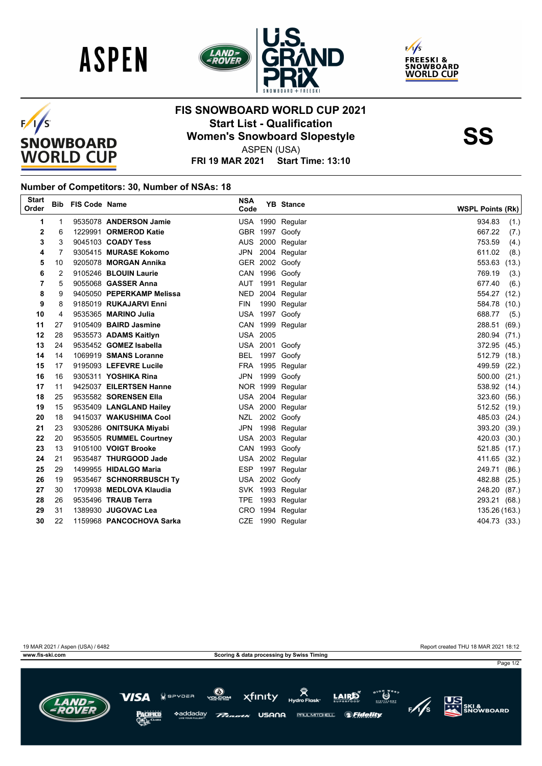







## **FIS SNOWBOARD WORLD CUP 2021 Start List - Qualification**<br>
Women's Snowboard Slopestyle<br>
ASPEN (USA)

ASPEN (USA)

**FRI 19 MAR 2021 Start Time: 13:10**

## **Number of Competitors: 30, Number of NSAs: 18**

| <b>Start</b><br>Order |    | <b>Bib FIS Code Name</b> |                            | <b>NSA</b><br>Code | <b>YB</b> Stance | <b>WSPL Points (Rk)</b> |
|-----------------------|----|--------------------------|----------------------------|--------------------|------------------|-------------------------|
| 1                     | 1  |                          | 9535078 ANDERSON Jamie     |                    | USA 1990 Regular | 934.83<br>(1.)          |
| 2                     | 6  |                          | 1229991 ORMEROD Katie      |                    | GBR 1997 Goofy   | 667.22<br>(7.)          |
| 3                     | 3  |                          | 9045103 COADY Tess         |                    | AUS 2000 Regular | 753.59<br>(4.)          |
| 4                     | 7  |                          | 9305415 MURASE Kokomo      | JPN                | 2004 Regular     | 611.02<br>(8.)          |
| 5                     | 10 |                          | 9205078 MORGAN Annika      |                    | GER 2002 Goofy   | 553.63 (13.)            |
| 6                     | 2  |                          | 9105246 BLOUIN Laurie      |                    | CAN 1996 Goofy   | 769.19<br>(3.)          |
| 7                     | 5  |                          | 9055068 <b>GASSER Anna</b> |                    | AUT 1991 Regular | 677.40<br>(6.)          |
| 8                     | 9  |                          | 9405050 PEPERKAMP Melissa  |                    | NED 2004 Regular | 554.27 (12.)            |
| 9                     | 8  |                          | 9185019 RUKAJARVI Enni     | <b>FIN</b>         | 1990 Regular     | 584.78<br>(10.)         |
| 10                    | 4  |                          | 9535365 MARINO Julia       |                    | USA 1997 Goofy   | 688.77<br>(5.)          |
| 11                    | 27 |                          | 9105409 BAIRD Jasmine      |                    | CAN 1999 Regular | 288.51 (69.)            |
| 12                    | 28 |                          | 9535573 ADAMS Kaitlyn      | <b>USA 2005</b>    |                  | 280.94 (71.)            |
| 13                    | 24 |                          | 9535452 GOMEZ Isabella     |                    | USA 2001 Goofy   | 372.95 (45.)            |
| 14                    | 14 |                          | 1069919 SMANS Loranne      |                    | BEL 1997 Goofy   | 512.79 (18.)            |
| 15                    | 17 |                          | 9195093 LEFEVRE Lucile     |                    | FRA 1995 Regular | 499.59 (22.)            |
| 16                    | 16 |                          | 9305311 YOSHIKA Rina       |                    | JPN 1999 Goofy   | 500.00 (21.)            |
| 17                    | 11 |                          | 9425037 EILERTSEN Hanne    |                    | NOR 1999 Regular | 538.92 (14.)            |
| 18                    | 25 |                          | 9535582 SORENSEN Ella      |                    | USA 2004 Regular | 323.60 (56.)            |
| 19                    | 15 |                          | 9535409 LANGLAND Hailey    |                    | USA 2000 Regular | 512.52 (19.)            |
| 20                    | 18 |                          | 9415037 WAKUSHIMA Cool     |                    | NZL 2002 Goofy   | 485.03 (24.)            |
| 21                    | 23 |                          | 9305286 ONITSUKA Miyabi    |                    | JPN 1998 Regular | 393.20 (39.)            |
| 22                    | 20 |                          | 9535505 RUMMEL Courtney    |                    | USA 2003 Regular | 420.03 (30.)            |
| 23                    | 13 |                          | 9105100 VOIGT Brooke       |                    | CAN 1993 Goofy   | 521.85 (17.)            |
| 24                    | 21 |                          | 9535487 THURGOOD Jade      |                    | USA 2002 Regular | 411.65 (32.)            |
| 25                    | 29 |                          | 1499955 HIDALGO Maria      |                    | ESP 1997 Regular | 249.71 (86.)            |
| 26                    | 19 |                          | 9535467 SCHNORRBUSCH Ty    |                    | USA 2002 Goofy   | 482.88 (25.)            |
| 27                    | 30 |                          | 1709938 MEDLOVA Klaudia    |                    | SVK 1993 Regular | 248.20 (87.)            |
| 28                    | 26 |                          | 9535496 TRAUB Terra        |                    | TPE 1993 Regular | 293.21 (68.)            |
| 29                    | 31 |                          | 1389930 JUGOVAC Lea        |                    | CRO 1994 Regular | 135.26 (163.)           |
| 30                    | 22 |                          | 1159968 PANCOCHOVA Sarka   |                    | CZE 1990 Regular | 404.73 (33.)            |
|                       |    |                          |                            |                    |                  |                         |